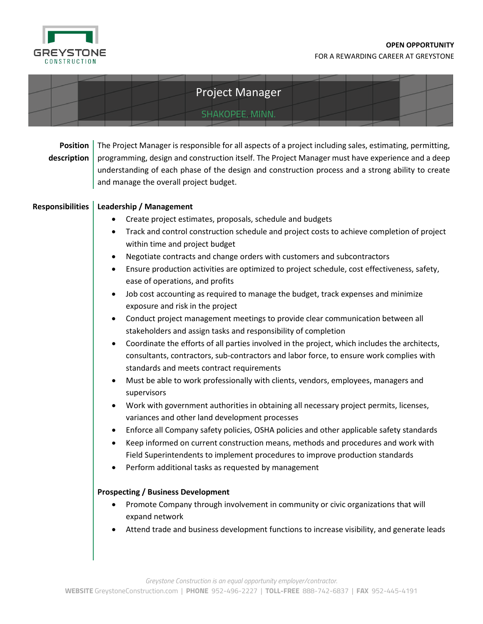

| <b>Project Manager</b>                                    |                                                                                                                                                                                                                                                                                                                                                                                                                                                                                                                                                                                                                                                                                                                                                                                                                                                                                                                                                                                                                                                                                                                                                                                                                                                                                                                                                                                                                                                                                                                                                                                                                                                                                                                                                                                                                                                                                                                                                                                                                                                                                                                                                                                                                                         |  |
|-----------------------------------------------------------|-----------------------------------------------------------------------------------------------------------------------------------------------------------------------------------------------------------------------------------------------------------------------------------------------------------------------------------------------------------------------------------------------------------------------------------------------------------------------------------------------------------------------------------------------------------------------------------------------------------------------------------------------------------------------------------------------------------------------------------------------------------------------------------------------------------------------------------------------------------------------------------------------------------------------------------------------------------------------------------------------------------------------------------------------------------------------------------------------------------------------------------------------------------------------------------------------------------------------------------------------------------------------------------------------------------------------------------------------------------------------------------------------------------------------------------------------------------------------------------------------------------------------------------------------------------------------------------------------------------------------------------------------------------------------------------------------------------------------------------------------------------------------------------------------------------------------------------------------------------------------------------------------------------------------------------------------------------------------------------------------------------------------------------------------------------------------------------------------------------------------------------------------------------------------------------------------------------------------------------------|--|
|                                                           | SHAKOPEE, MINN.                                                                                                                                                                                                                                                                                                                                                                                                                                                                                                                                                                                                                                                                                                                                                                                                                                                                                                                                                                                                                                                                                                                                                                                                                                                                                                                                                                                                                                                                                                                                                                                                                                                                                                                                                                                                                                                                                                                                                                                                                                                                                                                                                                                                                         |  |
| <b>Position</b><br>description<br><b>Responsibilities</b> | The Project Manager is responsible for all aspects of a project including sales, estimating, permitting,<br>programming, design and construction itself. The Project Manager must have experience and a deep<br>understanding of each phase of the design and construction process and a strong ability to create<br>and manage the overall project budget.<br><b>Leadership / Management</b><br>Create project estimates, proposals, schedule and budgets<br>Track and control construction schedule and project costs to achieve completion of project<br>within time and project budget<br>Negotiate contracts and change orders with customers and subcontractors<br>$\bullet$<br>Ensure production activities are optimized to project schedule, cost effectiveness, safety,<br>$\bullet$<br>ease of operations, and profits<br>Job cost accounting as required to manage the budget, track expenses and minimize<br>$\bullet$<br>exposure and risk in the project<br>Conduct project management meetings to provide clear communication between all<br>stakeholders and assign tasks and responsibility of completion<br>Coordinate the efforts of all parties involved in the project, which includes the architects,<br>$\bullet$<br>consultants, contractors, sub-contractors and labor force, to ensure work complies with<br>standards and meets contract requirements<br>Must be able to work professionally with clients, vendors, employees, managers and<br>$\bullet$<br>supervisors<br>Work with government authorities in obtaining all necessary project permits, licenses,<br>variances and other land development processes<br>Enforce all Company safety policies, OSHA policies and other applicable safety standards<br>Keep informed on current construction means, methods and procedures and work with<br>Field Superintendents to implement procedures to improve production standards<br>Perform additional tasks as requested by management<br>$\bullet$<br><b>Prospecting / Business Development</b><br>Promote Company through involvement in community or civic organizations that will<br>expand network<br>Attend trade and business development functions to increase visibility, and generate leads |  |
|                                                           |                                                                                                                                                                                                                                                                                                                                                                                                                                                                                                                                                                                                                                                                                                                                                                                                                                                                                                                                                                                                                                                                                                                                                                                                                                                                                                                                                                                                                                                                                                                                                                                                                                                                                                                                                                                                                                                                                                                                                                                                                                                                                                                                                                                                                                         |  |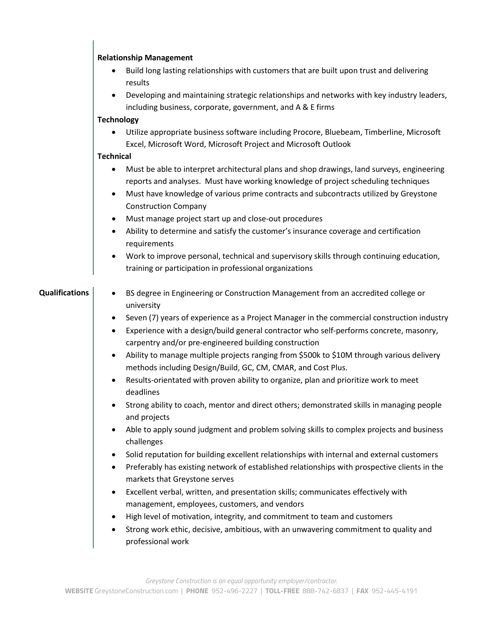|                       | <b>Relationship Management</b>                                                                                                                                                                                                                                                                                                     |
|-----------------------|------------------------------------------------------------------------------------------------------------------------------------------------------------------------------------------------------------------------------------------------------------------------------------------------------------------------------------|
|                       | Build long lasting relationships with customers that are built upon trust and delivering<br>results                                                                                                                                                                                                                                |
|                       | Developing and maintaining strategic relationships and networks with key industry leaders,<br>$\bullet$<br>including business, corporate, government, and A & E firms                                                                                                                                                              |
|                       | <b>Technology</b>                                                                                                                                                                                                                                                                                                                  |
|                       | Utilize appropriate business software including Procore, Bluebeam, Timberline, Microsoft<br>Excel, Microsoft Word, Microsoft Project and Microsoft Outlook                                                                                                                                                                         |
|                       | <b>Technical</b>                                                                                                                                                                                                                                                                                                                   |
|                       | Must be able to interpret architectural plans and shop drawings, land surveys, engineering<br>$\bullet$<br>reports and analyses. Must have working knowledge of project scheduling techniques<br>Must have knowledge of various prime contracts and subcontracts utilized by Greystone<br>$\bullet$<br><b>Construction Company</b> |
|                       | Must manage project start up and close-out procedures<br>$\bullet$                                                                                                                                                                                                                                                                 |
|                       | Ability to determine and satisfy the customer's insurance coverage and certification<br>$\bullet$<br>requirements                                                                                                                                                                                                                  |
|                       | Work to improve personal, technical and supervisory skills through continuing education,<br>training or participation in professional organizations                                                                                                                                                                                |
| <b>Qualifications</b> | BS degree in Engineering or Construction Management from an accredited college or<br>$\bullet$<br>university                                                                                                                                                                                                                       |
|                       | Seven (7) years of experience as a Project Manager in the commercial construction industry<br>$\bullet$<br>Experience with a design/build general contractor who self-performs concrete, masonry,<br>carpentry and/or pre-engineered building construction                                                                         |
|                       | Ability to manage multiple projects ranging from \$500k to \$10M through various delivery<br>$\bullet$<br>methods including Design/Build, GC, CM, CMAR, and Cost Plus.                                                                                                                                                             |
|                       | Results-orientated with proven ability to organize, plan and prioritize work to meet<br>deadlines                                                                                                                                                                                                                                  |
|                       | Strong ability to coach, mentor and direct others; demonstrated skills in managing people<br>and projects                                                                                                                                                                                                                          |
|                       | Able to apply sound judgment and problem solving skills to complex projects and business<br>$\bullet$<br>challenges                                                                                                                                                                                                                |
|                       | Solid reputation for building excellent relationships with internal and external customers<br>٠<br>Preferably has existing network of established relationships with prospective clients in the<br>$\bullet$<br>markets that Greystone serves                                                                                      |
|                       | Excellent verbal, written, and presentation skills; communicates effectively with<br>$\bullet$<br>management, employees, customers, and vendors                                                                                                                                                                                    |
|                       | High level of motivation, integrity, and commitment to team and customers<br>٠                                                                                                                                                                                                                                                     |
|                       | Strong work ethic, decisive, ambitious, with an unwavering commitment to quality and<br>٠<br>professional work                                                                                                                                                                                                                     |